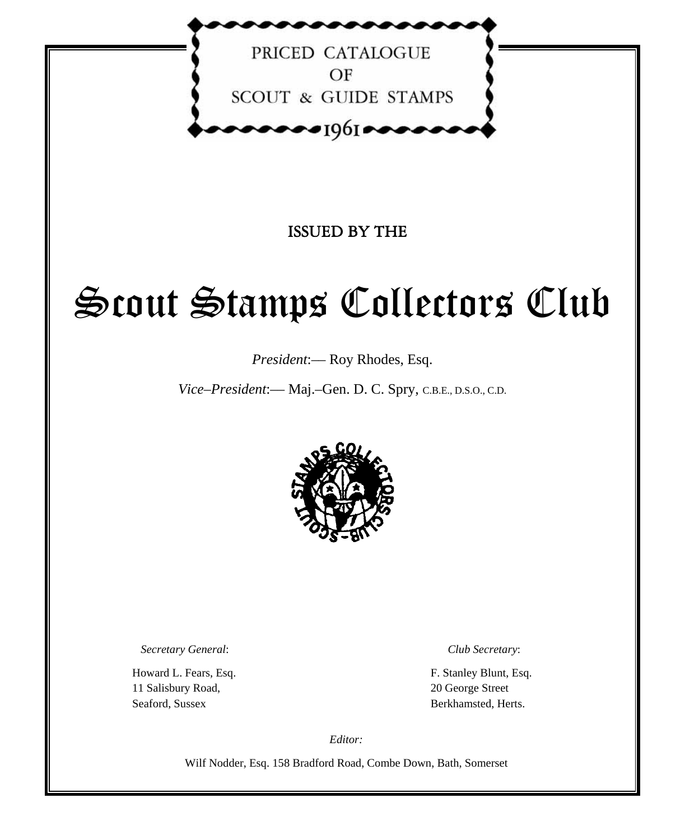

PRICED CATALOGUE  $OF$ **SCOUT & GUIDE STAMPS** 

 $\bullet\bullet\bullet\bullet$ 1961  $\bullet\bullet\bullet\bullet$ 

ISSUED BY THE

# Scout Stamps Collectors Club

*President*:–– Roy Rhodes, Esq.

*Vice–President*:–– Maj.–Gen. D. C. Spry, C.B.E., D.S.O., C.D.



*Secretary General*: *Club Secretary*:

 11 Salisbury Road, 20 George Street Seaford, Sussex Berkhamsted, Herts.

Howard L. Fears, Esq.  $\qquad \qquad$  F. Stanley Blunt, Esq.

*Editor:* 

Wilf Nodder, Esq. 158 Bradford Road, Combe Down, Bath, Somerset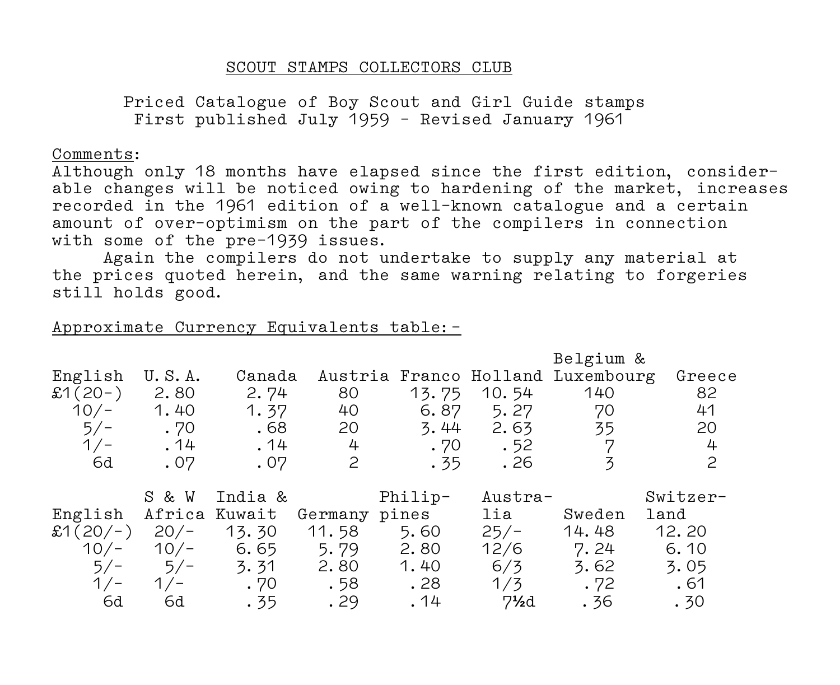## SCOUT STAMPS COLLECTORS CLUB

 Priced Catalogue of Boy Scout and Girl Guide stamps First published July 1959 – Revised January 1961

#### Comments:

Although only 18 months have elapsed since the first edition, consider– able changes will be noticed owing to hardening of the market, increases recorded in the 1961 edition of a well–known catalogue and a certain amount of over–optimism on the part of the compilers in connection with some of the pre–1939 issues.

 Again the compilers do not undertake to supply any material at the prices quoted herein, and the same warning relating to forgeries still holds good.

## Approximate Currency Equivalents table:–

|                 |               |         |              |         |                                | Belgium &                         |          |
|-----------------|---------------|---------|--------------|---------|--------------------------------|-----------------------------------|----------|
| English         | U.S.A.        | Canada  |              |         |                                | Austria Franco Holland Luxembourg | Greece   |
| $$1(20-)$       | 2.80          | 2.74    | 80           | 13.75   | 10.54                          | 140                               | 82       |
| $10/-$          | 1.40          | 1.37    | 40           | 6.87    | 5.27                           | 70                                | 41       |
| $5/-$           | .70           | .68     | 20           | 3.44    | 2.63                           | 35                                | 20       |
| $1/-$           | . 14          | . 14    | 4            | .70     | .52                            | 7                                 | 4        |
| 6d              | .07           | .07     | $\mathbf{2}$ | . 35    | . 26                           | 3                                 | 2        |
|                 |               |         |              |         |                                |                                   |          |
|                 | S & W         | India & |              | Philip- | Austra-                        |                                   | Switzer- |
| English         | Africa Kuwait |         | Germany      | pines   | lia                            | Sweden                            | land     |
| $$1(20/-)$ 20/- |               | 13.30   | 11.58        | 5.60    | $25/-$                         | 14.48                             | 12.20    |
| $10/-$          | $10/-$        | 6.65    | 5.79         | 2.80    | 12/6                           | 7.24                              | 6.10     |
| $5/-$           | $5/-$         | 3.31    | 2.80         | 1.40    | 6/3                            | 3.62                              | 3.05     |
| $1/-$           | $1/-$         | .70     | . 58         | . 28    | 1/3                            | .72                               | .61      |
| 6d              | 6d            | . 35    | .29          | .14     | $7\frac{\text{1}}{\text{2}}$ d | . 36                              | .30      |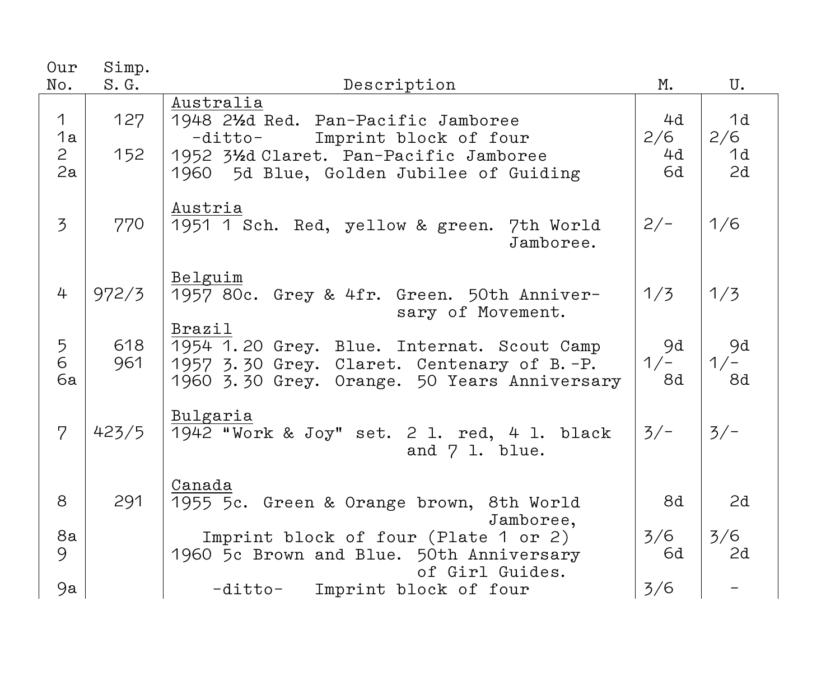| Our<br>No.                                | Simp.<br>S.G. | Description                                                                                                                                                                    | М.                    | U.                    |
|-------------------------------------------|---------------|--------------------------------------------------------------------------------------------------------------------------------------------------------------------------------|-----------------------|-----------------------|
| $\mathbf 1$<br>1a<br>$\overline{a}$<br>2a | 127<br>152    | Australia<br>1948 21/2d Red. Pan-Pacific Jamboree<br>Imprint block of four<br>-ditto-<br>1952 31/2d Claret. Pan-Pacific Jamboree<br>1960<br>5d Blue, Golden Jubilee of Guiding | 4d<br>2/6<br>4d<br>6d | 1d<br>2/6<br>1d<br>2d |
| $\overline{3}$                            | 770           | Austria<br>1951 1 Sch. Red, yellow & green. 7th World<br>Jamboree.                                                                                                             | $2/-$                 | 1/6                   |
| 4                                         | 972/3         | Belguim<br>1957 80c. Grey & 4fr. Green. 50th Anniver-<br>sary of Movement.                                                                                                     | 1/3                   | 1/3                   |
| 5<br>6<br>6a                              | 618<br>961    | Brazil<br>1954 1.20 Grey. Blue. Internat. Scout Camp<br>1957 3.30 Grey. Claret. Centenary of B.-P.<br>1960 3.30 Grey. Orange. 50 Years Anniversary                             | 9d<br>$1/-$<br>8d     | 9d<br>$1/-$<br>8d     |
| $\overline{7}$                            | 423/5         | Bulgaria<br>1942 "Work & Joy" set. 2 1. red, 4 1. black<br>and 7 1. blue.                                                                                                      | $3/-$                 | $3/-$                 |
| 8                                         | 291           | Canada<br>1955 5c. Green & Orange brown, 8th World<br>Jamboree,                                                                                                                | 8d                    | 2d                    |
| 8a<br>9                                   |               | Imprint block of four (Plate 1 or 2)<br>1960 5c Brown and Blue. 50th Anniversary<br>of Girl Guides.                                                                            | 3/6<br>6d             | 3/6<br>2d             |
| 9a                                        |               | Imprint block of four<br>-ditto-                                                                                                                                               | 3/6                   |                       |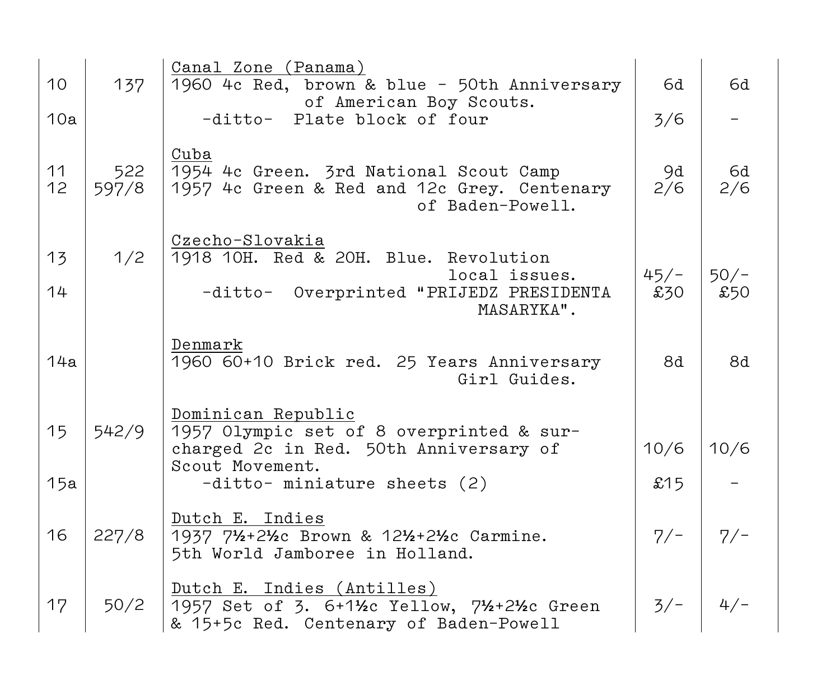| 10        | 137          | Canal Zone (Panama)<br>1960 4c Red, brown & blue - 50th Anniversary<br>of American Boy Scouts.                                                                  | 6d            | 6d            |
|-----------|--------------|-----------------------------------------------------------------------------------------------------------------------------------------------------------------|---------------|---------------|
| 10a       |              | -ditto- Plate block of four                                                                                                                                     | 3/6           |               |
| 11<br>12  | 522<br>597/8 | Cuba<br>1954 4c Green. 3rd National Scout Camp<br>1957 4c Green & Red and 12c Grey. Centenary<br>of Baden-Powell.                                               | 9d<br>2/6     | 6d<br>2/6     |
| 13<br>14  | 1/2          | Czecho-Slovakia<br>1918 10H. Red & 20H. Blue. Revolution<br>local issues.<br>-ditto- Overprinted "PRIJEDZ PRESIDENTA<br>MASARYKA".                              | $45/-$<br>£30 | $50/-$<br>£50 |
| 14a       |              | Denmark<br>1960 60+10 Brick red. 25 Years Anniversary<br>Girl Guides.                                                                                           | 8d            | 8d            |
| 15<br>15a | 542/9        | Dominican Republic<br>1957 Olympic set of 8 overprinted & sur-<br>charged 2c in Red. 50th Anniversary of<br>Scout Movement.<br>$-ditto-$ miniature sheets $(2)$ | 10/6<br>£15   | 10/6          |
| 16        | 227/8        | Dutch E. Indies<br>1937 71/2+21/2c Brown & 121/2+21/2c Carmine.<br>5th World Jamboree in Holland.                                                               | $7/-$         | $7/-$         |
| 17        | 50/2         | Dutch E. Indies (Antilles)<br>1957 Set of 3. 6+11/2c Yellow, 71/2+21/2c Green<br>& 15+5c Red. Centenary of Baden-Powell                                         | $3/-$         | $4/-$         |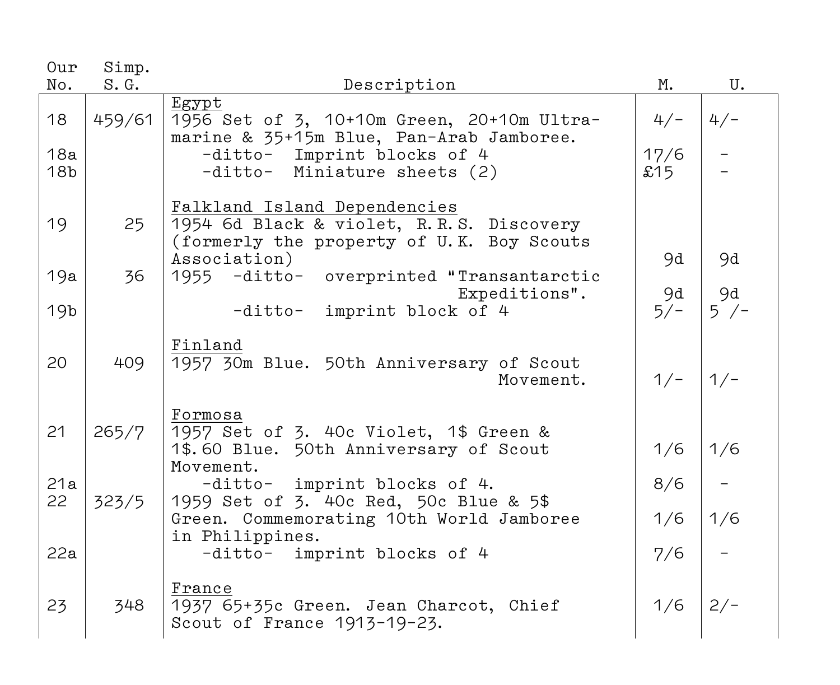| Our                          | Simp.  |                                                                                                                                                                |                      |               |
|------------------------------|--------|----------------------------------------------------------------------------------------------------------------------------------------------------------------|----------------------|---------------|
| No.                          | S. G.  | Description                                                                                                                                                    | М.                   | U.            |
| 18<br>18a<br>18 <sub>b</sub> | 459/61 | Egypt<br>1956 Set of 3, 10+10m Green, 20+10m Ultra-<br>marine & 35+15m Blue, Pan-Arab Jamboree.<br>-ditto- Imprint blocks of 4<br>-ditto- Miniature sheets (2) | $4/-$<br>17/6<br>£15 | $4/-$         |
| 19                           | 25     | Falkland Island Dependencies<br>1954 6d Black & violet, R.R.S. Discovery<br>(formerly the property of U.K. Boy Scouts<br>Association)                          | 9d                   | 9d            |
| 19a                          | 36     | 1955 -ditto- overprinted "Transantarctic                                                                                                                       |                      |               |
| 19 <sub>b</sub>              |        | Expeditions".<br>-ditto- imprint block of 4                                                                                                                    | 9d<br>$5/-$          | 9d<br>$5 / -$ |
| 20                           | 409    | Finland<br>1957 30m Blue. 50th Anniversary of Scout<br>Movement.                                                                                               | $1/-$                | $1/-$         |
| 21                           | 265/7  | Formosa<br>1957 Set of 3. 40c Violet, 1\$ Green &<br>1\$.60 Blue. 50th Anniversary of Scout<br>Movement.                                                       | 1/6                  | 1/6           |
| 21a                          |        | -ditto- imprint blocks of 4.                                                                                                                                   | 8/6                  |               |
| 22                           | 323/5  | 1959 Set of 3. 40c Red, 50c Blue & 5\$<br>Green. Commemorating 10th World Jamboree<br>in Philippines.                                                          | 1/6                  | 1/6           |
| 22a                          |        | -ditto- imprint blocks of 4                                                                                                                                    | 7/6                  |               |
| 23                           | 348    | France<br>1937 65+35c Green. Jean Charcot, Chief<br>Scout of France 1913-19-23.                                                                                | 1/6                  | $2/-$         |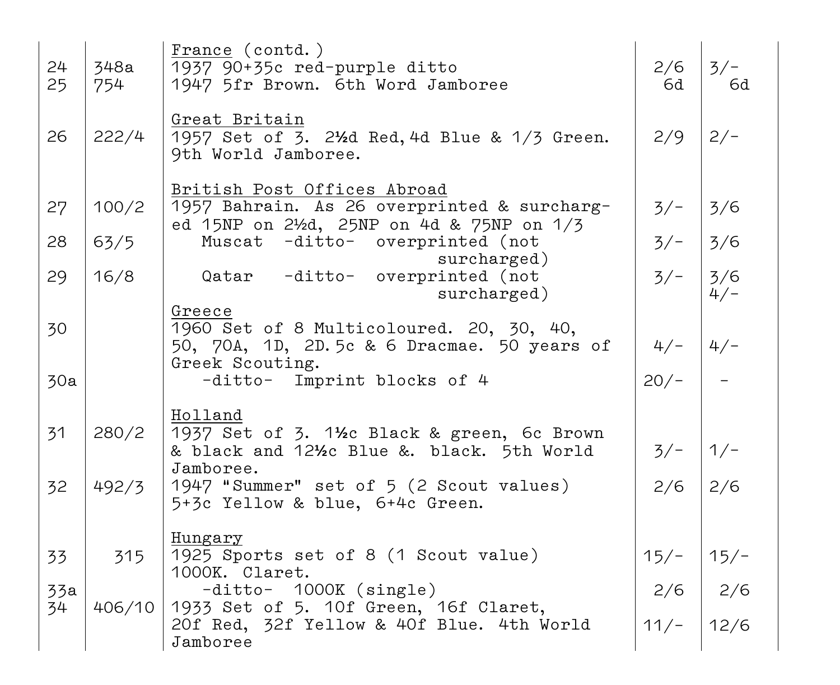| 24<br>25 | 348a<br>754 | France (contd.)<br>1937 90+35c red-purple ditto<br>1947 5fr Brown. 6th Word Jamboree                                           | 2/6<br>6d | $3/-$<br>6d   |
|----------|-------------|--------------------------------------------------------------------------------------------------------------------------------|-----------|---------------|
| 26       | 222/4       | Great Britain<br>1957 Set of 3. 21/2d Red, 4d Blue & 1/3 Green.<br>9th World Jamboree.                                         | 2/9       | $2/-$         |
| 27       | 100/2       | British Post Offices Abroad<br>1957 Bahrain. As 26 overprinted & surcharg-<br>ed 15NP on 2½d, 25NP on 4d & 75NP on 1/3         | $3/-$     | 3/6           |
| 28       | 63/5        | Muscat -ditto- overprinted (not                                                                                                | $3/-$     | 3/6           |
| 29       | 16/8        | surcharged)<br>Qatar -ditto- overprinted (not<br>surcharged)                                                                   | $3/-$     | 3/6<br>$4/-$  |
| 30       |             | Greece<br>1960 Set of 8 Multicoloured. 20, 30, 40,<br>50, 70A, 1D, 2D.5c & 6 Dracmae. 50 years of<br>Greek Scouting.           | $4/-$     | $4/-$         |
| 30a      |             | -ditto- Imprint blocks of 4                                                                                                    | $20/-$    |               |
| 31       | 280/2       | Holland<br>1937 Set of 3. 1½c Black & green, 6c Brown<br>& black and 121/ <sub>2</sub> c Blue &. black. 5th World<br>Jamboree. | $3/-$     | $1/-$         |
| 32       | 492/3       | 1947 "Summer" set of 5 (2 Scout values)<br>5+3c Yellow & blue, 6+4c Green.                                                     | 2/6       | 2/6           |
|          |             | Hungary                                                                                                                        |           |               |
| 33       | 315         | 1925 Sports set of 8 (1 Scout value)<br>1000K. Claret.                                                                         | $15/-$    | $15/-$        |
| 33a      |             | -ditto- 1000K (single)                                                                                                         | 2/6       | $\frac{2}{6}$ |
| 34       | 406/10      | 1933 Set of 5. 10f Green, 16f Claret,<br>20f Red, 32f Yellow & 40f Blue. 4th World<br>Jamboree                                 | $11/-$    | 12/6          |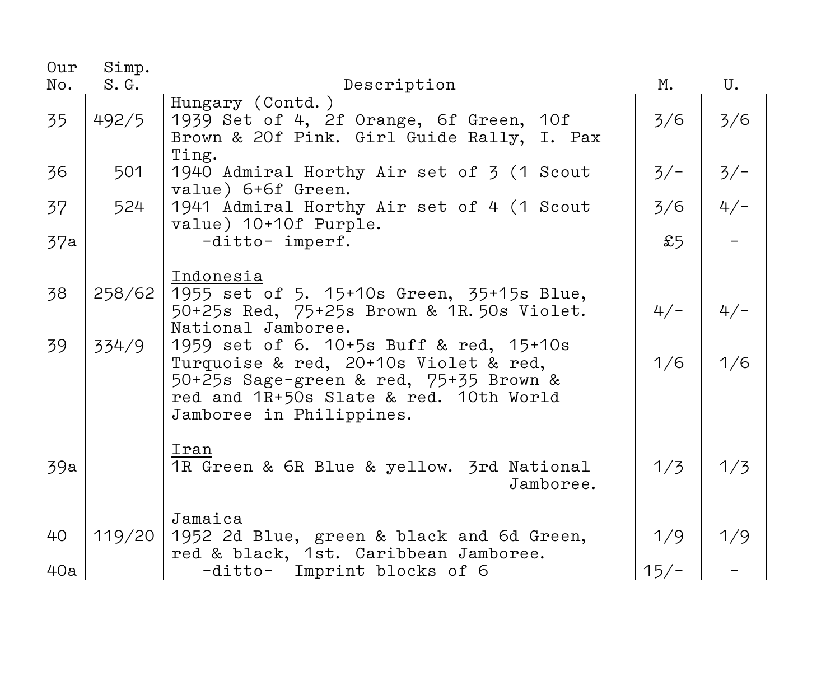| Our      | Simp.           |                                                                                                                                                                                                               |              |              |
|----------|-----------------|---------------------------------------------------------------------------------------------------------------------------------------------------------------------------------------------------------------|--------------|--------------|
| No.      | S.G.            | Description                                                                                                                                                                                                   | М.           | U.           |
| 35       | 492/5           | Hungary (Contd.)<br>1939 Set of 4, 2f Orange, 6f Green, 10f<br>Brown & 20f Pink. Girl Guide Rally, I. Pax<br>Ting.                                                                                            | 3/6          | 3/6          |
| 36       | 501             | 1940 Admiral Horthy Air set of 3 (1 Scout<br>value) 6+6f Green.                                                                                                                                               | $3/-$        | $3/-$        |
| 37       | 524             | 1941 Admiral Horthy Air set of 4 (1 Scout<br>value) 10+10f Purple.                                                                                                                                            | 3/6          | $4/-$        |
| 37a      |                 | -ditto- imperf.                                                                                                                                                                                               | £5           |              |
| 38<br>39 | 258/62<br>334/9 | Indonesia<br>1955 set of 5. 15+10s Green, 35+15s Blue,<br>50+25s Red, 75+25s Brown & 1R.50s Violet.<br>National Jamboree.<br>1959 set of 6. 10+5s Buff & red, 15+10s<br>Turquoise & red, 20+10s Violet & red, | $4/-$<br>1/6 | $4/-$<br>1/6 |
|          |                 | 50+25s Sage-green & red, 75+35 Brown &<br>red and 1R+50s Slate & red. 10th World<br>Jamboree in Philippines.                                                                                                  |              |              |
| 39a      |                 | Iran<br>1R Green & 6R Blue & yellow. 3rd National<br>Jamboree.                                                                                                                                                | 1/3          | 1/3          |
| 40       | 119/20          | Jamaica<br>1952 2d Blue, green & black and 6d Green,<br>red & black, 1st. Caribbean Jamboree.                                                                                                                 | 1/9          | 1/9          |
| 40a      |                 | -ditto- Imprint blocks of 6                                                                                                                                                                                   | $15/-$       |              |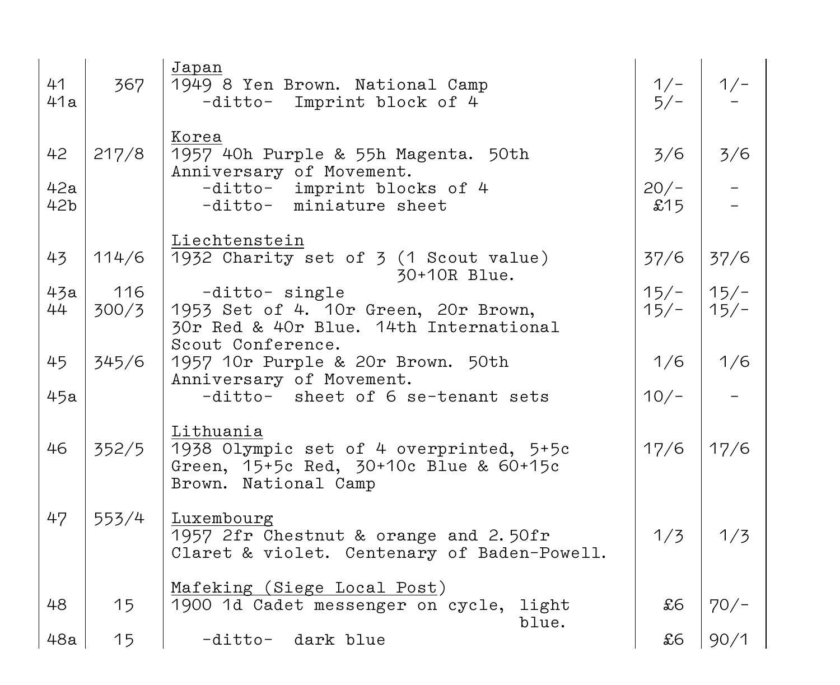| 41<br>41a       | 367          | Japan<br>1949 8 Yen Brown. National Camp<br>-ditto- Imprint block of 4                                                 | $1/-$<br>$5/-$   | $1/-$            |
|-----------------|--------------|------------------------------------------------------------------------------------------------------------------------|------------------|------------------|
| 42<br>42a       | 217/8        | Korea<br>1957 40h Purple & 55h Magenta. 50th<br>Anniversary of Movement.<br>-ditto- imprint blocks of 4                | 3/6<br>$20/-$    | 3/6              |
| 42 <sub>b</sub> |              | -ditto- miniature sheet                                                                                                | £15              |                  |
| 43              | 114/6        | Liechtenstein<br>1932 Charity set of 3 (1 Scout value)<br>30+10R Blue.                                                 | 37/6             | 37/6             |
| 43a<br>44       | 116<br>300/3 | -ditto- single<br>1953 Set of 4. 10r Green, 20r Brown,<br>30r Red & 40r Blue. 14th International                       | $15/-$<br>$15/-$ | $15/-$<br>$15/-$ |
| 45              | 345/6        | Scout Conference.<br>1957 10r Purple & 20r Brown. 50th<br>Anniversary of Movement.                                     | 1/6              | 1/6              |
| 45a             |              | -ditto- sheet of 6 se-tenant sets                                                                                      | $10/-$           |                  |
| 46              | 352/5        | Lithuania<br>1938 Olympic set of 4 overprinted, 5+5c<br>Green, 15+5c Red, 30+10c Blue & 60+15c<br>Brown. National Camp | 17/6             | 17/6             |
| 47              | 553/4        | Luxembourg<br>1957 2fr Chestnut & orange and 2.50fr<br>Claret & violet. Centenary of Baden-Powell.                     | 1/3              | 1/3              |
| 48              | 15           | Mafeking (Siege Local Post)<br>1900 1d Cadet messenger on cycle, light<br>blue.                                        | £6               | $70/-$           |
| 48a             | 15           | -ditto- dark blue                                                                                                      | £6               | 90/1             |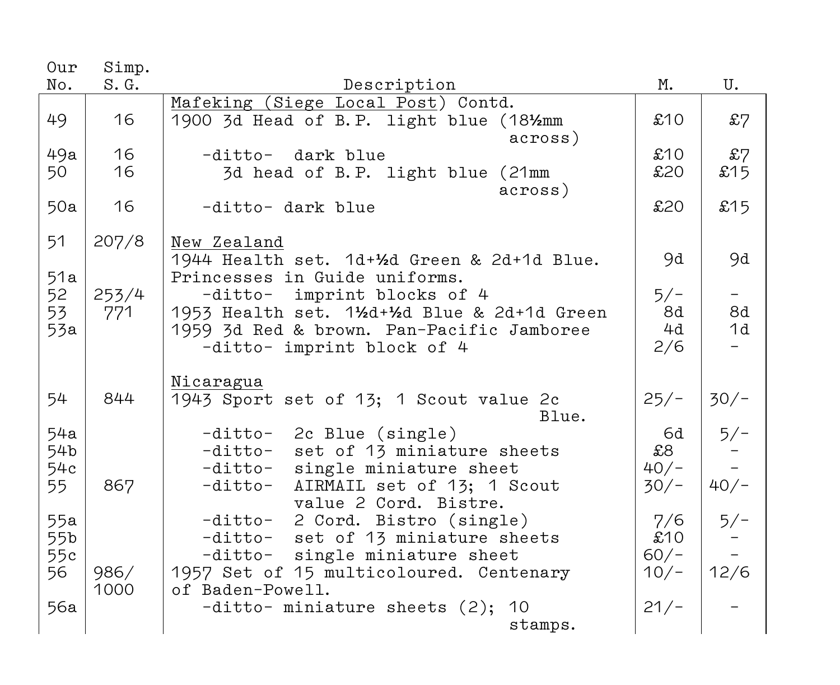| Our       | Simp. |                                                                |            |        |
|-----------|-------|----------------------------------------------------------------|------------|--------|
| No.       | S.G.  | Description                                                    | М.         | U.     |
|           |       | Mafeking (Siege Local Post) Contd.                             |            |        |
| 49        | 16    | 1900 3d Head of B.P. light blue (181/2mm                       | £10        | £7     |
|           |       | across)                                                        |            |        |
| 49a       | 16    | dark blue<br>$-distto-$                                        | £10        | £7     |
| 50        | 16    | 3d head of B.P. light blue (21mm                               | £20        | £15    |
|           |       | across)                                                        |            |        |
| 50a       | 16    | -ditto- dark blue                                              | £20        | £15    |
|           |       |                                                                |            |        |
| 51        | 207/8 | New Zealand                                                    |            |        |
|           |       | 1944 Health set. 1d+1/2d Green & 2d+1d Blue.                   | 9d         | 9d     |
| 51a       |       | Princesses in Guide uniforms.                                  |            |        |
| 52        | 253/4 | imprint blocks of 4<br>-ditto-                                 | $5/-$      | $-$    |
| 53        | 771   | 1953 Health set. 11/2d+1/2d Blue & 2d+1d Green                 | 8d         | 8d     |
| 53a       |       | 1959 3d Red & brown. Pan-Pacific Jamboree                      | 4d         | 1d     |
|           |       | -ditto- imprint block of 4                                     | 2/6        |        |
|           |       |                                                                |            |        |
|           |       | Nicaragua                                                      |            |        |
| 54        | 844   | 1943 Sport set of 13; 1 Scout value 2c                         | $25/-$     | $30/-$ |
|           |       | Blue.                                                          |            |        |
| 54a       |       |                                                                | 6d         |        |
| 54b       |       | 2c Blue (single)<br>-ditto-<br>-ditto-                         | \$8        | $5/-$  |
|           |       | set of 13 miniature sheets                                     | $40/-$     |        |
| 54c<br>55 | 867   | single miniature sheet<br>-ditto-                              |            | $40/-$ |
|           |       | AIRMAIL set of 13; 1 Scout<br>-ditto-<br>value 2 Cord. Bistre. | $30/-$     |        |
|           |       |                                                                |            |        |
| 55a       |       | 2 Cord. Bistro (single)<br>-ditto-                             | 7/6<br>£10 | $5/-$  |
| 55b       |       | -ditto-<br>set of 13 miniature sheets                          |            |        |
| 55c       |       | -ditto-<br>single miniature sheet                              | $60/-$     |        |
| 56        | 986/  | 1957 Set of 15 multicoloured. Centenary                        | $10/-$     | 12/6   |
|           | 1000  | of Baden-Powell.                                               |            |        |
| 56a       |       | $-ditto-$ miniature sheets $(2)$ ;<br>10                       | $21/-$     |        |
|           |       | stamps.                                                        |            |        |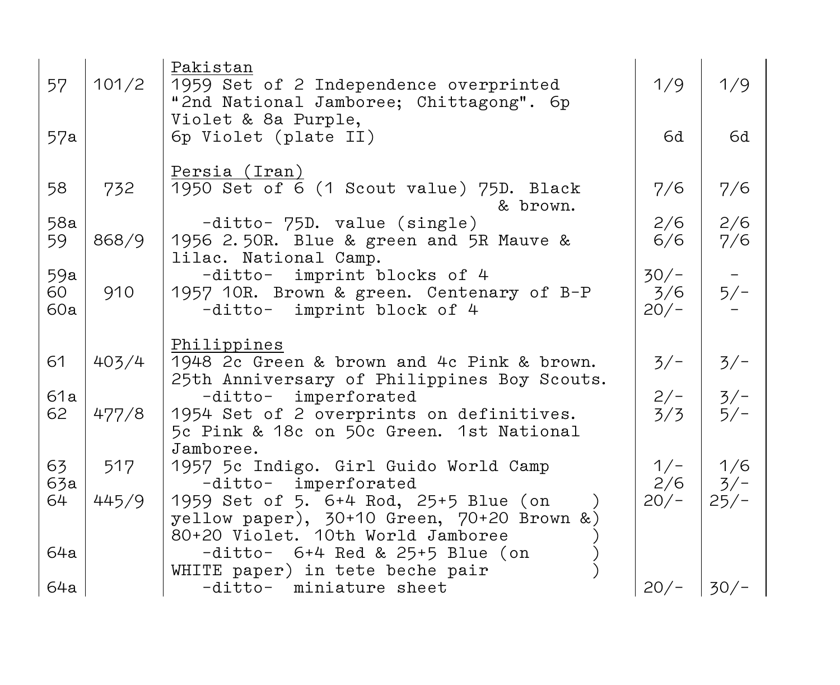| 57               | 101/2        | Pakistan<br>1959 Set of 2 Independence overprinted<br>"2nd National Jamboree; Chittagong". 6p<br>Violet & 8a Purple,                                    | 1/9                     | 1/9                    |
|------------------|--------------|---------------------------------------------------------------------------------------------------------------------------------------------------------|-------------------------|------------------------|
| 57a              |              | 6p Violet (plate II)                                                                                                                                    | 6d                      | 6d                     |
| 58               | 732          | <u>Persia (Iran)</u><br>1950 Set of 6 (1 Scout value) 75D. Black<br>& brown.                                                                            | 7/6                     | 7/6                    |
| 58a<br>59        | 868/9        | -ditto- 75D. value (single)<br>1956 2.50R. Blue & green and 5R Mauve &<br>lilac. National Camp.                                                         | 2/6<br>6/6              | 2/6<br>7/6             |
| 59a<br>60<br>60a | 910          | imprint blocks of 4<br>-ditto-<br>1957 10R. Brown & green. Centenary of B-P<br>-ditto- imprint block of 4                                               | $30/-$<br>3/6<br>$20/-$ | $5/-$                  |
| 61               | 403/4        | Philippines<br>1948 2c Green & brown and 4c Pink & brown.<br>25th Anniversary of Philippines Boy Scouts.                                                | $3/-$                   | $3/-$                  |
| 61a<br>62        | 477/8        | imperforated<br>-ditto-<br>1954 Set of 2 overprints on definitives.<br>5c Pink & 18c on 50c Green. 1st National                                         | $2/-$<br>3/3            | $3/-$<br>$5/-$         |
| 63<br>63a<br>64  | 517<br>445/9 | Jamboree.<br>1957 5c Indigo. Girl Guido World Camp<br>-ditto- imperforated<br>1959 Set of 5. 6+4 Rod, 25+5 Blue (on                                     | $1/-$<br>2/6<br>$20/-$  | 1/6<br>$3/-$<br>$25/-$ |
| 64a              |              | yellow paper), 30+10 Green, 70+20 Brown &)<br>80+20 Violet. 10th World Jamboree<br>$-ditto-$ 6+4 Red & 25+5 Blue (on<br>WHITE paper) in tete beche pair |                         |                        |
| 64a              |              | -ditto- miniature sheet                                                                                                                                 | $20/-$                  | $30/-$                 |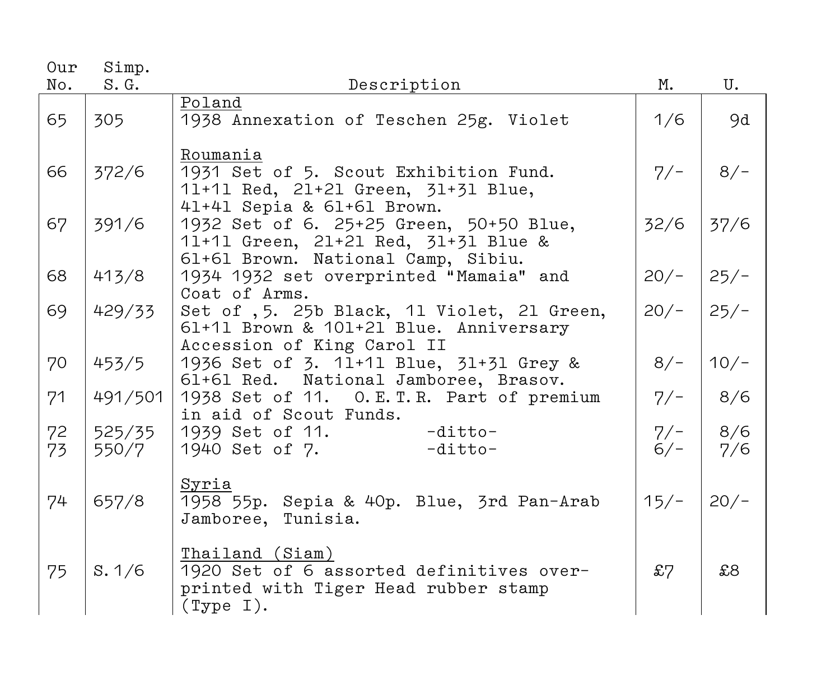| Our      | Simp.           |                                                                                                                             |                |            |
|----------|-----------------|-----------------------------------------------------------------------------------------------------------------------------|----------------|------------|
| No.      | S.G.            | Description                                                                                                                 | М.             | U.         |
| 65       | 305             | Poland<br>1938 Annexation of Teschen 25g. Violet                                                                            | 1/6            | 9d         |
| 66       | 372/6           | Roumania<br>1931 Set of 5. Scout Exhibition Fund.<br>11+11 Red, 21+21 Green, 31+31 Blue,<br>41+41 Sepia & 61+61 Brown.      | $7/-$          | $8/-$      |
| 67       | 391/6           | 1932 Set of 6. 25+25 Green, 50+50 Blue,<br>11+11 Green, 21+21 Red, 31+31 Blue &                                             | 32/6           | 37/6       |
| 68       | 413/8           | 61+61 Brown. National Camp, Sibiu.<br>1934 1932 set overprinted "Mamaia" and<br>Coat of Arms.                               | $20/-$         | $25/-$     |
| 69       | 429/33          | Set of , 5. 25b Black, 11 Violet, 21 Green,<br>61+11 Brown & 101+21 Blue. Anniversary                                       | $20/-$         | $25/-$     |
| 70       | 453/5           | Accession of King Carol II<br>1936 Set of 3. 11+11 Blue, 31+31 Grey &<br>61+61 Red. National Jamboree, Brasov.              | $8/-$          | $10/-$     |
| 71       | 491/501         | 1938 Set of 11. O.E.T.R. Part of premium<br>in aid of Scout Funds.                                                          | $7/-$          | 8/6        |
| 72<br>73 | 525/35<br>550/7 | $1939$ Set of 11. $-ditto-$<br>$1940$ Set of 7. $-ditto-$                                                                   | $7/-$<br>$6/-$ | 8/6<br>7/6 |
| 74       | 657/8           | <u>Syria</u><br>1958 55p. Sepia & 40p. Blue, 3rd Pan-Arab<br>Jamboree, Tunisia.                                             | $15/-$         | $20/-$     |
| 75       | S.1/6           | Thailand (Siam)<br>1920 Set of 6 assorted definitives over-<br>printed with Tiger Head rubber stamp<br>$(\texttt{Type I}).$ | £7             | \$8        |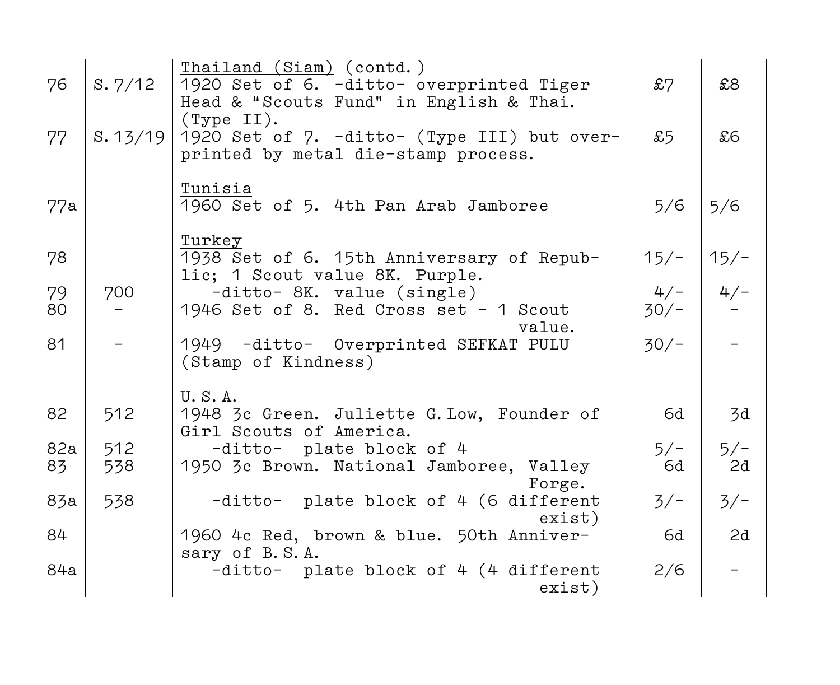| 76  | S.7/12   | Thailand (Siam) (contd.)<br>1920 Set of 6. -ditto- overprinted Tiger<br>Head & "Scouts Fund" in English & Thai. | £7     | \$8    |
|-----|----------|-----------------------------------------------------------------------------------------------------------------|--------|--------|
| 77  | S. 13/19 | (Type II).<br>1920 Set of 7. -ditto- (Type III) but over-<br>printed by metal die-stamp process.                | £5     | £6     |
| 77a |          | Tunisia<br>1960 Set of 5. 4th Pan Arab Jamboree                                                                 | 5/6    | 5/6    |
| 78  |          | Turkey<br>1938 Set of 6. 15th Anniversary of Repub-<br>lic; 1 Scout value 8K. Purple.                           | $15/-$ | $15/-$ |
| 79  | 700      | -ditto- 8K. value (single)                                                                                      | $4/-$  | $4/-$  |
| 80  |          | 1946 Set of 8. Red Cross set - 1 Scout<br>value.                                                                | $30/-$ |        |
| 81  |          | 1949 -ditto- Overprinted SEFKAT PULU<br>(Stamp of Kindness)                                                     | $30/-$ |        |
| 82  | 512      | U.S.A.<br>1948 3c Green. Juliette G. Low, Founder of<br>Girl Scouts of America.                                 | 6d     | 3d     |
| 82a | 512      | -ditto- plate block of 4                                                                                        | $5/-$  | $5/-$  |
| 83  | 538      | 1950 3c Brown. National Jamboree, Valley                                                                        | 6d     | 2d     |
| 83a | 538      | Forge.<br>-ditto- plate block of 4 (6 different<br>exist)                                                       | $3/-$  | $3/-$  |
| 84  |          | 1960 4c Red, brown & blue. 50th Anniver-                                                                        | 6d     | 2d     |
| 84a |          | sary of B.S.A.<br>-ditto- plate block of 4 (4 different<br>exist)                                               | 2/6    |        |